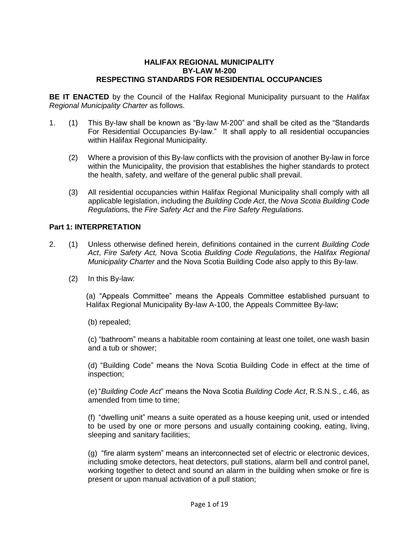### **HALIFAX REGIONAL MUNICIPALITY BY-LAW M-200 RESPECTING STANDARDS FOR RESIDENTIAL OCCUPANCIES**

**BE IT ENACTED** by the Council of the Halifax Regional Municipality pursuant to the *Halifax Regional Municipality Charter* as follows.

- 1. (1) This By-law shall be known as "By-law M-200" and shall be cited as the "Standards For Residential Occupancies By-law." It shall apply to all residential occupancies within Halifax Regional Municipality.
	- (2) Where a provision of this By-law conflicts with the provision of another By-law in force within the Municipality, the provision that establishes the higher standards to protect the health, safety, and welfare of the general public shall prevail.
	- (3) All residential occupancies within Halifax Regional Municipality shall comply with all applicable legislation, including the *Building Code Act*, the *Nova Scotia Building Code Regulation*s, the *Fire Safety Act* and the *Fire Safety Regulations*.

## **Part 1: INTERPRETATION**

- 2. (1) Unless otherwise defined herein, definitions contained in the current *Building Code Act*, *Fire Safety Act,* Nova Scotia *Building Code Regulations*, the *Halifax Regional Municipality Charter* and the Nova Scotia Building Code also apply to this By-law.
	- (2) In this By-law:

(a) "Appeals Committee" means the Appeals Committee established pursuant to Halifax Regional Municipality By-law A-100, the Appeals Committee By-law;

(b) repealed;

(c) "bathroom" means a habitable room containing at least one toilet, one wash basin and a tub or shower;

(d) "Building Code" means the Nova Scotia Building Code in effect at the time of inspection;

(e)"*Building Code Act*" means the Nova Scotia *Building Code Act*, R.S.N.S., c.46, as amended from time to time:

(f) "dwelling unit" means a suite operated as a house keeping unit, used or intended to be used by one or more persons and usually containing cooking, eating, living, sleeping and sanitary facilities;

(g) "fire alarm system" means an interconnected set of electric or electronic devices, including smoke detectors, heat detectors, pull stations, alarm bell and control panel, working together to detect and sound an alarm in the building when smoke or fire is present or upon manual activation of a pull station;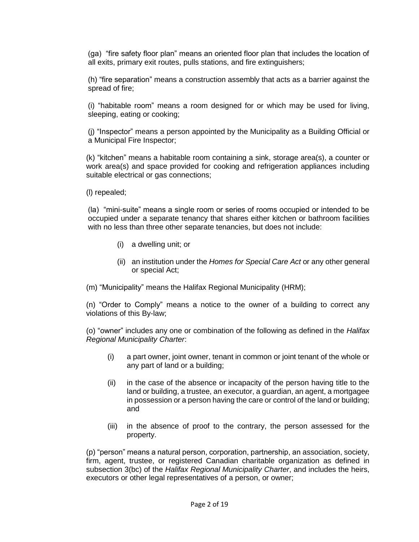(ga) "fire safety floor plan" means an oriented floor plan that includes the location of all exits, primary exit routes, pulls stations, and fire extinguishers;

(h) "fire separation" means a construction assembly that acts as a barrier against the spread of fire;

(i) "habitable room" means a room designed for or which may be used for living, sleeping, eating or cooking;

(j) "Inspector" means a person appointed by the Municipality as a Building Official or a Municipal Fire Inspector;

(k) "kitchen" means a habitable room containing a sink, storage area(s), a counter or work area(s) and space provided for cooking and refrigeration appliances including suitable electrical or gas connections;

(l) repealed;

(la) "mini-suite" means a single room or series of rooms occupied or intended to be occupied under a separate tenancy that shares either kitchen or bathroom facilities with no less than three other separate tenancies, but does not include:

- (i) a dwelling unit; or
- (ii) an institution under the *Homes for Special Care Act* or any other general or special Act;

(m) "Municipality" means the Halifax Regional Municipality (HRM);

(n) "Order to Comply" means a notice to the owner of a building to correct any violations of this By-law;

(o) "owner" includes any one or combination of the following as defined in the *Halifax Regional Municipality Charter*:

- (i) a part owner, joint owner, tenant in common or joint tenant of the whole or any part of land or a building;
- (ii) in the case of the absence or incapacity of the person having title to the land or building, a trustee, an executor, a guardian, an agent, a mortgagee in possession or a person having the care or control of the land or building; and
- (iii) in the absence of proof to the contrary, the person assessed for the property.

(p) "person" means a natural person, corporation, partnership, an association, society, firm, agent, trustee, or registered Canadian charitable organization as defined in subsection 3(bc) of the *Halifax Regional Municipality Charter*, and includes the heirs, executors or other legal representatives of a person, or owner;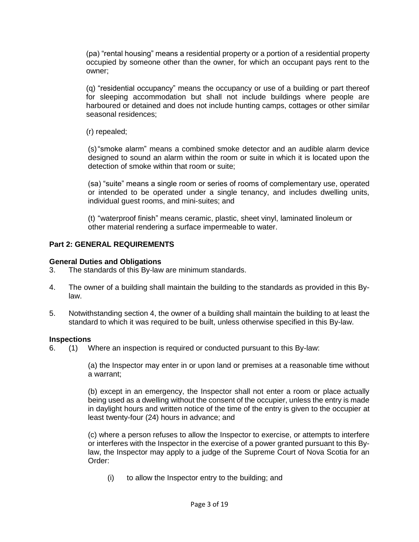(pa) "rental housing" means a residential property or a portion of a residential property occupied by someone other than the owner, for which an occupant pays rent to the owner;

(q) "residential occupancy" means the occupancy or use of a building or part thereof for sleeping accommodation but shall not include buildings where people are harboured or detained and does not include hunting camps, cottages or other similar seasonal residences;

(r) repealed;

(s)"smoke alarm" means a combined smoke detector and an audible alarm device designed to sound an alarm within the room or suite in which it is located upon the detection of smoke within that room or suite;

(sa) "suite" means a single room or series of rooms of complementary use, operated or intended to be operated under a single tenancy, and includes dwelling units, individual guest rooms, and mini-suites; and

(t) "waterproof finish" means ceramic, plastic, sheet vinyl, laminated linoleum or other material rendering a surface impermeable to water.

# **Part 2: GENERAL REQUIREMENTS**

# **General Duties and Obligations**

- 3. The standards of this By-law are minimum standards.
- 4. The owner of a building shall maintain the building to the standards as provided in this Bylaw.
- 5. Notwithstanding section 4, the owner of a building shall maintain the building to at least the standard to which it was required to be built, unless otherwise specified in this By-law.

# **Inspections**

6. (1) Where an inspection is required or conducted pursuant to this By-law:

(a) the Inspector may enter in or upon land or premises at a reasonable time without a warrant;

(b) except in an emergency, the Inspector shall not enter a room or place actually being used as a dwelling without the consent of the occupier, unless the entry is made in daylight hours and written notice of the time of the entry is given to the occupier at least twenty-four (24) hours in advance; and

(c) where a person refuses to allow the Inspector to exercise, or attempts to interfere or interferes with the Inspector in the exercise of a power granted pursuant to this Bylaw, the Inspector may apply to a judge of the Supreme Court of Nova Scotia for an Order:

(i) to allow the Inspector entry to the building; and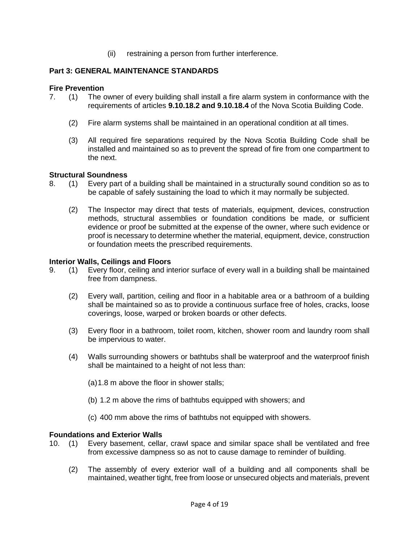(ii) restraining a person from further interference.

# **Part 3: GENERAL MAINTENANCE STANDARDS**

# **Fire Prevention**

- 7. (1) The owner of every building shall install a fire alarm system in conformance with the requirements of articles **9.10.18.2 and 9.10.18.4** of the Nova Scotia Building Code.
	- (2) Fire alarm systems shall be maintained in an operational condition at all times.
	- (3) All required fire separations required by the Nova Scotia Building Code shall be installed and maintained so as to prevent the spread of fire from one compartment to the next.

# **Structural Soundness**

- 8. (1) Every part of a building shall be maintained in a structurally sound condition so as to be capable of safely sustaining the load to which it may normally be subjected.
	- (2) The Inspector may direct that tests of materials, equipment, devices, construction methods, structural assemblies or foundation conditions be made, or sufficient evidence or proof be submitted at the expense of the owner, where such evidence or proof is necessary to determine whether the material, equipment, device, construction or foundation meets the prescribed requirements.

# **Interior Walls, Ceilings and Floors**

- 9. (1) Every floor, ceiling and interior surface of every wall in a building shall be maintained free from dampness.
	- (2) Every wall, partition, ceiling and floor in a habitable area or a bathroom of a building shall be maintained so as to provide a continuous surface free of holes, cracks, loose coverings, loose, warped or broken boards or other defects.
	- (3) Every floor in a bathroom, toilet room, kitchen, shower room and laundry room shall be impervious to water.
	- (4) Walls surrounding showers or bathtubs shall be waterproof and the waterproof finish shall be maintained to a height of not less than:
		- (a)1.8 m above the floor in shower stalls;
		- (b) 1.2 m above the rims of bathtubs equipped with showers; and
		- (c) 400 mm above the rims of bathtubs not equipped with showers.

# **Foundations and Exterior Walls**

- 10. (1) Every basement, cellar, crawl space and similar space shall be ventilated and free from excessive dampness so as not to cause damage to reminder of building.
	- (2) The assembly of every exterior wall of a building and all components shall be maintained, weather tight, free from loose or unsecured objects and materials, prevent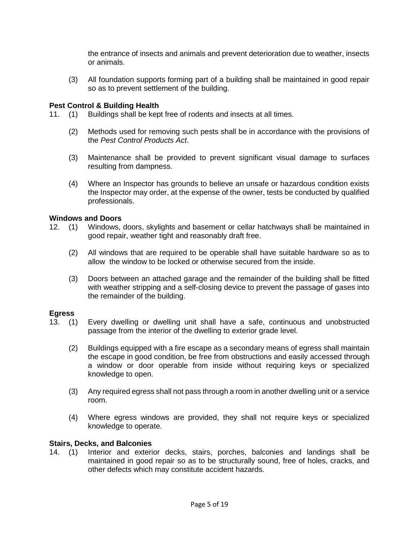the entrance of insects and animals and prevent deterioration due to weather, insects or animals.

(3) All foundation supports forming part of a building shall be maintained in good repair so as to prevent settlement of the building.

# **Pest Control & Building Health**

- 11. (1) Buildings shall be kept free of rodents and insects at all times.
	- (2) Methods used for removing such pests shall be in accordance with the provisions of the *Pest Control Products Act*.
	- (3) Maintenance shall be provided to prevent significant visual damage to surfaces resulting from dampness.
	- (4) Where an Inspector has grounds to believe an unsafe or hazardous condition exists the Inspector may order, at the expense of the owner, tests be conducted by qualified professionals.

# **Windows and Doors**

- 12. (1) Windows, doors, skylights and basement or cellar hatchways shall be maintained in good repair, weather tight and reasonably draft free.
	- (2) All windows that are required to be operable shall have suitable hardware so as to allow the window to be locked or otherwise secured from the inside.
	- (3) Doors between an attached garage and the remainder of the building shall be fitted with weather stripping and a self-closing device to prevent the passage of gases into the remainder of the building.

# **Egress**

- 13. (1) Every dwelling or dwelling unit shall have a safe, continuous and unobstructed passage from the interior of the dwelling to exterior grade level.
	- (2) Buildings equipped with a fire escape as a secondary means of egress shall maintain the escape in good condition, be free from obstructions and easily accessed through a window or door operable from inside without requiring keys or specialized knowledge to open.
	- (3) Any required egress shall not pass through a room in another dwelling unit or a service room.
	- (4) Where egress windows are provided, they shall not require keys or specialized knowledge to operate.

# **Stairs, Decks, and Balconies**

14. (1) Interior and exterior decks, stairs, porches, balconies and landings shall be maintained in good repair so as to be structurally sound, free of holes, cracks, and other defects which may constitute accident hazards.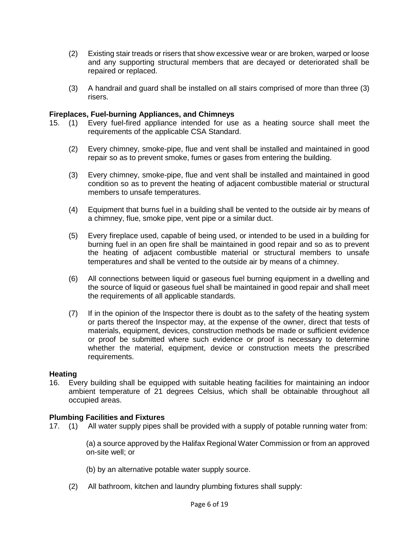- (2) Existing stair treads or risers that show excessive wear or are broken, warped or loose and any supporting structural members that are decayed or deteriorated shall be repaired or replaced.
- (3) A handrail and guard shall be installed on all stairs comprised of more than three (3) risers.

## **Fireplaces, Fuel-burning Appliances, and Chimneys**

- 15. (1) Every fuel-fired appliance intended for use as a heating source shall meet the requirements of the applicable CSA Standard.
	- (2) Every chimney, smoke-pipe, flue and vent shall be installed and maintained in good repair so as to prevent smoke, fumes or gases from entering the building.
	- (3) Every chimney, smoke-pipe, flue and vent shall be installed and maintained in good condition so as to prevent the heating of adjacent combustible material or structural members to unsafe temperatures.
	- (4) Equipment that burns fuel in a building shall be vented to the outside air by means of a chimney, flue, smoke pipe, vent pipe or a similar duct.
	- (5) Every fireplace used, capable of being used, or intended to be used in a building for burning fuel in an open fire shall be maintained in good repair and so as to prevent the heating of adjacent combustible material or structural members to unsafe temperatures and shall be vented to the outside air by means of a chimney.
	- (6) All connections between liquid or gaseous fuel burning equipment in a dwelling and the source of liquid or gaseous fuel shall be maintained in good repair and shall meet the requirements of all applicable standards.
	- (7) If in the opinion of the Inspector there is doubt as to the safety of the heating system or parts thereof the Inspector may, at the expense of the owner, direct that tests of materials, equipment, devices, construction methods be made or sufficient evidence or proof be submitted where such evidence or proof is necessary to determine whether the material, equipment, device or construction meets the prescribed requirements.

### **Heating**

16. Every building shall be equipped with suitable heating facilities for maintaining an indoor ambient temperature of 21 degrees Celsius, which shall be obtainable throughout all occupied areas.

### **Plumbing Facilities and Fixtures**

17. (1) All water supply pipes shall be provided with a supply of potable running water from:

(a) a source approved by the Halifax Regional Water Commission or from an approved on-site well; or

- (b) by an alternative potable water supply source.
- (2) All bathroom, kitchen and laundry plumbing fixtures shall supply: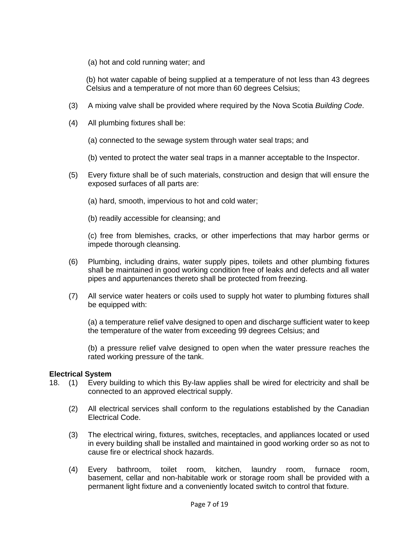(a) hot and cold running water; and

(b) hot water capable of being supplied at a temperature of not less than 43 degrees Celsius and a temperature of not more than 60 degrees Celsius;

- (3) A mixing valve shall be provided where required by the Nova Scotia *Building Code*.
- (4) All plumbing fixtures shall be:

(a) connected to the sewage system through water seal traps; and

(b) vented to protect the water seal traps in a manner acceptable to the Inspector.

- (5) Every fixture shall be of such materials, construction and design that will ensure the exposed surfaces of all parts are:
	- (a) hard, smooth, impervious to hot and cold water;
	- (b) readily accessible for cleansing; and

(c) free from blemishes, cracks, or other imperfections that may harbor germs or impede thorough cleansing.

- (6) Plumbing, including drains, water supply pipes, toilets and other plumbing fixtures shall be maintained in good working condition free of leaks and defects and all water pipes and appurtenances thereto shall be protected from freezing.
- (7) All service water heaters or coils used to supply hot water to plumbing fixtures shall be equipped with:

(a) a temperature relief valve designed to open and discharge sufficient water to keep the temperature of the water from exceeding 99 degrees Celsius; and

(b) a pressure relief valve designed to open when the water pressure reaches the rated working pressure of the tank.

### **Electrical System**

- 18. (1) Every building to which this By-law applies shall be wired for electricity and shall be connected to an approved electrical supply.
	- (2) All electrical services shall conform to the regulations established by the Canadian Electrical Code.
	- (3) The electrical wiring, fixtures, switches, receptacles, and appliances located or used in every building shall be installed and maintained in good working order so as not to cause fire or electrical shock hazards.
	- (4) Every bathroom, toilet room, kitchen, laundry room, furnace room, basement, cellar and non-habitable work or storage room shall be provided with a permanent light fixture and a conveniently located switch to control that fixture.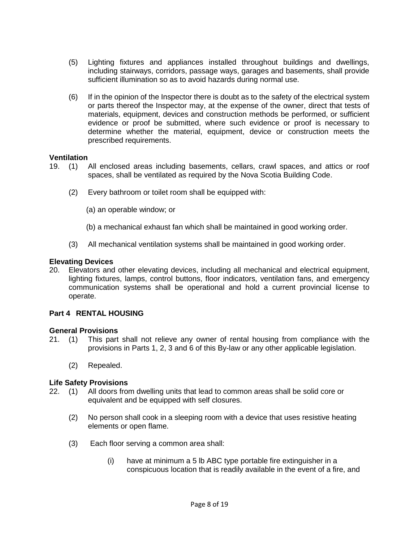- (5) Lighting fixtures and appliances installed throughout buildings and dwellings, including stairways, corridors, passage ways, garages and basements, shall provide sufficient illumination so as to avoid hazards during normal use.
- (6) If in the opinion of the Inspector there is doubt as to the safety of the electrical system or parts thereof the Inspector may, at the expense of the owner, direct that tests of materials, equipment, devices and construction methods be performed, or sufficient evidence or proof be submitted, where such evidence or proof is necessary to determine whether the material, equipment, device or construction meets the prescribed requirements.

## **Ventilation**

- 19. (1) All enclosed areas including basements, cellars, crawl spaces, and attics or roof spaces, shall be ventilated as required by the Nova Scotia Building Code.
	- (2) Every bathroom or toilet room shall be equipped with:
		- (a) an operable window; or
		- (b) a mechanical exhaust fan which shall be maintained in good working order.
	- (3) All mechanical ventilation systems shall be maintained in good working order.

## **Elevating Devices**

20. Elevators and other elevating devices, including all mechanical and electrical equipment, lighting fixtures, lamps, control buttons, floor indicators, ventilation fans, and emergency communication systems shall be operational and hold a current provincial license to operate.

# **Part 4 RENTAL HOUSING**

- **General Provisions**<br>21. (1) This part This part shall not relieve any owner of rental housing from compliance with the provisions in Parts 1, 2, 3 and 6 of this By-law or any other applicable legislation.
	- (2) Repealed.

# **Life Safety Provisions**

- 22. (1) All doors from dwelling units that lead to common areas shall be solid core or equivalent and be equipped with self closures.
	- (2) No person shall cook in a sleeping room with a device that uses resistive heating elements or open flame.
	- (3) Each floor serving a common area shall:
		- (i) have at minimum a 5 lb ABC type portable fire extinguisher in a conspicuous location that is readily available in the event of a fire, and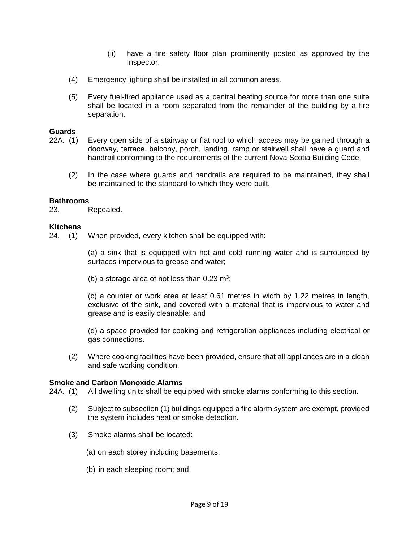- (ii) have a fire safety floor plan prominently posted as approved by the Inspector.
- (4) Emergency lighting shall be installed in all common areas.
- (5) Every fuel-fired appliance used as a central heating source for more than one suite shall be located in a room separated from the remainder of the building by a fire separation.

## **Guards**

- 22A. (1) Every open side of a stairway or flat roof to which access may be gained through a doorway, terrace, balcony, porch, landing, ramp or stairwell shall have a guard and handrail conforming to the requirements of the current Nova Scotia Building Code.
	- (2) In the case where guards and handrails are required to be maintained, they shall be maintained to the standard to which they were built.

## **Bathrooms**

23. Repealed.

### **Kitchens**

24. (1) When provided, every kitchen shall be equipped with:

(a) a sink that is equipped with hot and cold running water and is surrounded by surfaces impervious to grease and water;

(b) a storage area of not less than  $0.23 \text{ m}^3$ ;

(c) a counter or work area at least 0.61 metres in width by 1.22 metres in length, exclusive of the sink, and covered with a material that is impervious to water and grease and is easily cleanable; and

(d) a space provided for cooking and refrigeration appliances including electrical or gas connections.

(2) Where cooking facilities have been provided, ensure that all appliances are in a clean and safe working condition.

# **Smoke and Carbon Monoxide Alarms**

24A. (1) All dwelling units shall be equipped with smoke alarms conforming to this section.

- (2) Subject to subsection (1) buildings equipped a fire alarm system are exempt, provided the system includes heat or smoke detection.
- (3) Smoke alarms shall be located:
	- (a) on each storey including basements;
	- (b) in each sleeping room; and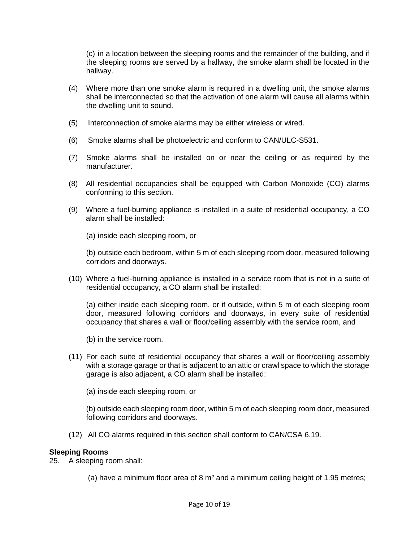(c) in a location between the sleeping rooms and the remainder of the building, and if the sleeping rooms are served by a hallway, the smoke alarm shall be located in the hallway.

- (4) Where more than one smoke alarm is required in a dwelling unit, the smoke alarms shall be interconnected so that the activation of one alarm will cause all alarms within the dwelling unit to sound.
- (5) Interconnection of smoke alarms may be either wireless or wired.
- (6) Smoke alarms shall be photoelectric and conform to CAN/ULC-S531.
- (7) Smoke alarms shall be installed on or near the ceiling or as required by the manufacturer.
- (8) All residential occupancies shall be equipped with Carbon Monoxide (CO) alarms conforming to this section.
- (9) Where a fuel-burning appliance is installed in a suite of residential occupancy, a CO alarm shall be installed:
	- (a) inside each sleeping room, or

(b) outside each bedroom, within 5 m of each sleeping room door, measured following corridors and doorways.

(10) Where a fuel-burning appliance is installed in a service room that is not in a suite of residential occupancy, a CO alarm shall be installed:

(a) either inside each sleeping room, or if outside, within 5 m of each sleeping room door, measured following corridors and doorways, in every suite of residential occupancy that shares a wall or floor/ceiling assembly with the service room, and

(b) in the service room.

- (11) For each suite of residential occupancy that shares a wall or floor/ceiling assembly with a storage garage or that is adjacent to an attic or crawl space to which the storage garage is also adjacent, a CO alarm shall be installed:
	- (a) inside each sleeping room, or

(b) outside each sleeping room door, within 5 m of each sleeping room door, measured following corridors and doorways.

(12) All CO alarms required in this section shall conform to CAN/CSA 6.19.

# **Sleeping Rooms**

25. A sleeping room shall:

(a) have a minimum floor area of 8 m² and a minimum ceiling height of 1.95 metres;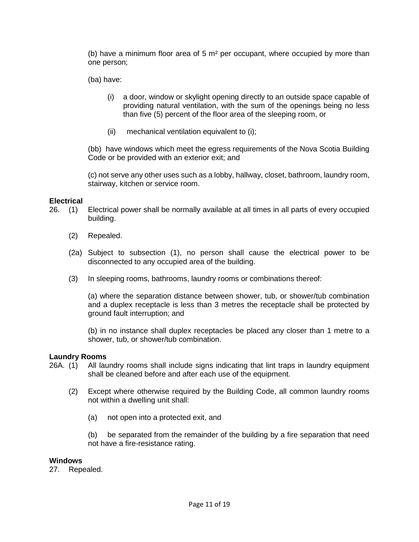(b) have a minimum floor area of 5 m² per occupant, where occupied by more than one person;

(ba) have:

- (i) a door, window or skylight opening directly to an outside space capable of providing natural ventilation, with the sum of the openings being no less than five (5) percent of the floor area of the sleeping room, or
- (ii) mechanical ventilation equivalent to (i);

(bb) have windows which meet the egress requirements of the Nova Scotia Building Code or be provided with an exterior exit; and

(c) not serve any other uses such as a lobby, hallway, closet, bathroom, laundry room, stairway, kitchen or service room.

### **Electrical**

- 26. (1) Electrical power shall be normally available at all times in all parts of every occupied building.
	- (2) Repealed.
	- (2a) Subject to subsection (1), no person shall cause the electrical power to be disconnected to any occupied area of the building.
	- (3) In sleeping rooms, bathrooms, laundry rooms or combinations thereof:

(a) where the separation distance between shower, tub, or shower/tub combination and a duplex receptacle is less than 3 metres the receptacle shall be protected by ground fault interruption; and

(b) in no instance shall duplex receptacles be placed any closer than 1 metre to a shower, tub, or shower/tub combination.

### **Laundry Rooms**

- 26A. (1) All laundry rooms shall include signs indicating that lint traps in laundry equipment shall be cleaned before and after each use of the equipment.
	- (2) Except where otherwise required by the Building Code, all common laundry rooms not within a dwelling unit shall:
		- (a) not open into a protected exit, and

(b) be separated from the remainder of the building by a fire separation that need not have a fire-resistance rating.

#### **Windows**

27. Repealed.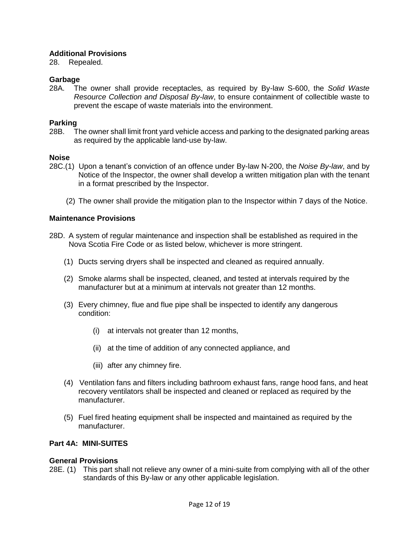# **Additional Provisions**

28. Repealed.

## **Garbage**

28A. The owner shall provide receptacles, as required by By-law S-600, the *Solid Waste Resource Collection and Disposal By-law*, to ensure containment of collectible waste to prevent the escape of waste materials into the environment.

## **Parking**

28B. The owner shall limit front yard vehicle access and parking to the designated parking areas as required by the applicable land-use by-law.

## **Noise**

- 28C.(1) Upon a tenant's conviction of an offence under By-law N-200, the *Noise By-law*, and by Notice of the Inspector, the owner shall develop a written mitigation plan with the tenant in a format prescribed by the Inspector.
	- (2) The owner shall provide the mitigation plan to the Inspector within 7 days of the Notice.

## **Maintenance Provisions**

- 28D. A system of regular maintenance and inspection shall be established as required in the Nova Scotia Fire Code or as listed below, whichever is more stringent.
	- (1) Ducts serving dryers shall be inspected and cleaned as required annually.
	- (2) Smoke alarms shall be inspected, cleaned, and tested at intervals required by the manufacturer but at a minimum at intervals not greater than 12 months.
	- (3) Every chimney, flue and flue pipe shall be inspected to identify any dangerous condition:
		- (i) at intervals not greater than 12 months,
		- (ii) at the time of addition of any connected appliance, and
		- (iii) after any chimney fire.
	- (4) Ventilation fans and filters including bathroom exhaust fans, range hood fans, and heat recovery ventilators shall be inspected and cleaned or replaced as required by the manufacturer.
	- (5) Fuel fired heating equipment shall be inspected and maintained as required by the manufacturer.

## **Part 4A: MINI-SUITES**

### **General Provisions**

28E. (1) This part shall not relieve any owner of a mini-suite from complying with all of the other standards of this By-law or any other applicable legislation.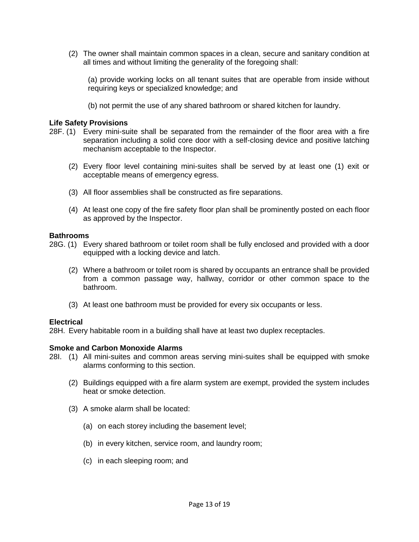(2) The owner shall maintain common spaces in a clean, secure and sanitary condition at all times and without limiting the generality of the foregoing shall:

(a) provide working locks on all tenant suites that are operable from inside without requiring keys or specialized knowledge; and

(b) not permit the use of any shared bathroom or shared kitchen for laundry.

## **Life Safety Provisions**

- 28F. (1) Every mini-suite shall be separated from the remainder of the floor area with a fire separation including a solid core door with a self-closing device and positive latching mechanism acceptable to the Inspector.
	- (2) Every floor level containing mini-suites shall be served by at least one (1) exit or acceptable means of emergency egress.
	- (3) All floor assemblies shall be constructed as fire separations.
	- (4) At least one copy of the fire safety floor plan shall be prominently posted on each floor as approved by the Inspector.

### **Bathrooms**

- 28G. (1) Every shared bathroom or toilet room shall be fully enclosed and provided with a door equipped with a locking device and latch.
	- (2) Where a bathroom or toilet room is shared by occupants an entrance shall be provided from a common passage way, hallway, corridor or other common space to the bathroom.
	- (3) At least one bathroom must be provided for every six occupants or less.

### **Electrical**

28H. Every habitable room in a building shall have at least two duplex receptacles.

### **Smoke and Carbon Monoxide Alarms**

- 28I. (1) All mini-suites and common areas serving mini-suites shall be equipped with smoke alarms conforming to this section.
	- (2) Buildings equipped with a fire alarm system are exempt, provided the system includes heat or smoke detection.
	- (3) A smoke alarm shall be located:
		- (a) on each storey including the basement level;
		- (b) in every kitchen, service room, and laundry room;
		- (c) in each sleeping room; and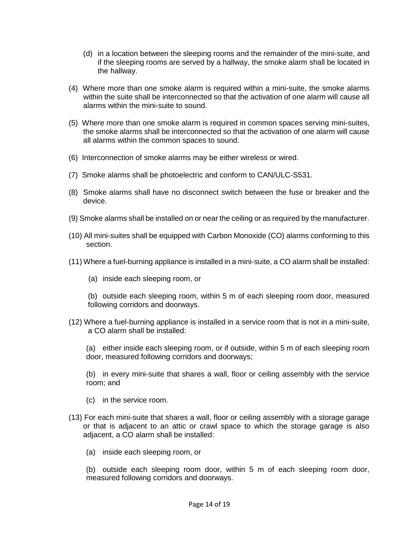- (d) in a location between the sleeping rooms and the remainder of the mini-suite, and if the sleeping rooms are served by a hallway, the smoke alarm shall be located in the hallway.
- (4) Where more than one smoke alarm is required within a mini-suite, the smoke alarms within the suite shall be interconnected so that the activation of one alarm will cause all alarms within the mini-suite to sound.
- (5) Where more than one smoke alarm is required in common spaces serving mini-suites, the smoke alarms shall be interconnected so that the activation of one alarm will cause all alarms within the common spaces to sound.
- (6) Interconnection of smoke alarms may be either wireless or wired.
- (7) Smoke alarms shall be photoelectric and conform to CAN/ULC-S531.
- (8) Smoke alarms shall have no disconnect switch between the fuse or breaker and the device.
- (9) Smoke alarms shall be installed on or near the ceiling or as required by the manufacturer.
- (10) All mini-suites shall be equipped with Carbon Monoxide (CO) alarms conforming to this section.
- (11) Where a fuel-burning appliance is installed in a mini-suite, a CO alarm shall be installed:
	- (a) inside each sleeping room, or
	- (b) outside each sleeping room, within 5 m of each sleeping room door, measured following corridors and doorways.
- (12) Where a fuel-burning appliance is installed in a service room that is not in a mini-suite, a CO alarm shall be installed:

(a) either inside each sleeping room, or if outside, within 5 m of each sleeping room door, measured following corridors and doorways;

(b) in every mini-suite that shares a wall, floor or ceiling assembly with the service room; and

- (c) in the service room.
- (13) For each mini-suite that shares a wall, floor or ceiling assembly with a storage garage or that is adjacent to an attic or crawl space to which the storage garage is also adjacent, a CO alarm shall be installed:
	- (a) inside each sleeping room, or

(b) outside each sleeping room door, within 5 m of each sleeping room door, measured following corridors and doorways.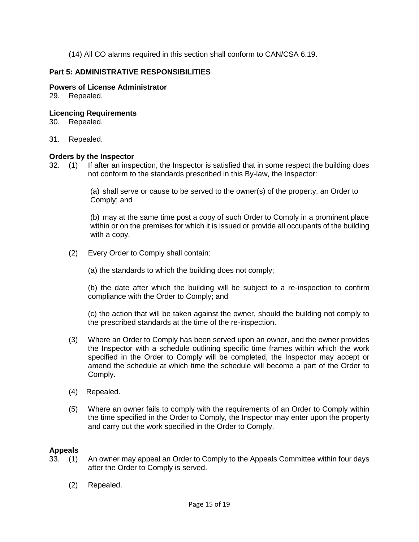(14) All CO alarms required in this section shall conform to CAN/CSA 6.19.

# **Part 5: ADMINISTRATIVE RESPONSIBILITIES**

## **Powers of License Administrator**

29. Repealed.

## **Licencing Requirements**

- 30. Repealed.
- 31. Repealed.

### **Orders by the Inspector**

32. (1) If after an inspection, the Inspector is satisfied that in some respect the building does not conform to the standards prescribed in this By-law, the Inspector:

> (a) shall serve or cause to be served to the owner(s) of the property, an Order to Comply; and

(b) may at the same time post a copy of such Order to Comply in a prominent place within or on the premises for which it is issued or provide all occupants of the building with a copy.

(2) Every Order to Comply shall contain:

(a) the standards to which the building does not comply;

(b) the date after which the building will be subject to a re-inspection to confirm compliance with the Order to Comply; and

(c) the action that will be taken against the owner, should the building not comply to the prescribed standards at the time of the re-inspection.

- (3) Where an Order to Comply has been served upon an owner, and the owner provides the Inspector with a schedule outlining specific time frames within which the work specified in the Order to Comply will be completed, the Inspector may accept or amend the schedule at which time the schedule will become a part of the Order to Comply.
- (4) Repealed.
- (5) Where an owner fails to comply with the requirements of an Order to Comply within the time specified in the Order to Comply, the Inspector may enter upon the property and carry out the work specified in the Order to Comply.

# **Appeals**

- 33. (1) An owner may appeal an Order to Comply to the Appeals Committee within four days after the Order to Comply is served.
	- (2) Repealed.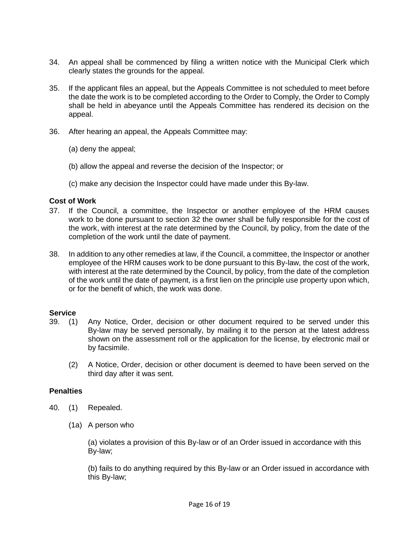- 34. An appeal shall be commenced by filing a written notice with the Municipal Clerk which clearly states the grounds for the appeal.
- 35. If the applicant files an appeal, but the Appeals Committee is not scheduled to meet before the date the work is to be completed according to the Order to Comply, the Order to Comply shall be held in abeyance until the Appeals Committee has rendered its decision on the appeal.
- 36. After hearing an appeal, the Appeals Committee may:
	- (a) deny the appeal;
	- (b) allow the appeal and reverse the decision of the Inspector; or
	- (c) make any decision the Inspector could have made under this By-law.

### **Cost of Work**

- 37. If the Council, a committee, the Inspector or another employee of the HRM causes work to be done pursuant to section 32 the owner shall be fully responsible for the cost of the work, with interest at the rate determined by the Council, by policy, from the date of the completion of the work until the date of payment.
- 38. In addition to any other remedies at law, if the Council, a committee, the Inspector or another employee of the HRM causes work to be done pursuant to this By-law, the cost of the work, with interest at the rate determined by the Council, by policy, from the date of the completion of the work until the date of payment, is a first lien on the principle use property upon which, or for the benefit of which, the work was done.

# **Service**

- 39. (1) Any Notice, Order, decision or other document required to be served under this By-law may be served personally, by mailing it to the person at the latest address shown on the assessment roll or the application for the license, by electronic mail or by facsimile.
	- (2) A Notice, Order, decision or other document is deemed to have been served on the third day after it was sent.

### **Penalties**

- 40. (1) Repealed.
	- (1a) A person who

(a) violates a provision of this By-law or of an Order issued in accordance with this By-law;

(b) fails to do anything required by this By-law or an Order issued in accordance with this By-law;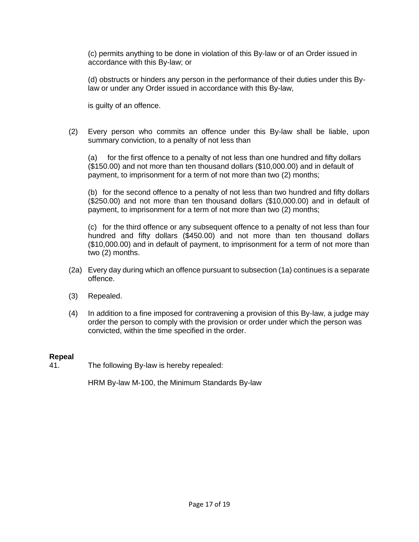(c) permits anything to be done in violation of this By-law or of an Order issued in accordance with this By-law; or

(d) obstructs or hinders any person in the performance of their duties under this Bylaw or under any Order issued in accordance with this By-law,

is guilty of an offence.

(2) Every person who commits an offence under this By-law shall be liable, upon summary conviction, to a penalty of not less than

(a) for the first offence to a penalty of not less than one hundred and fifty dollars (\$150.00) and not more than ten thousand dollars (\$10,000.00) and in default of payment, to imprisonment for a term of not more than two (2) months;

(b) for the second offence to a penalty of not less than two hundred and fifty dollars (\$250.00) and not more than ten thousand dollars (\$10,000.00) and in default of payment, to imprisonment for a term of not more than two (2) months;

(c) for the third offence or any subsequent offence to a penalty of not less than four hundred and fifty dollars (\$450.00) and not more than ten thousand dollars (\$10,000.00) and in default of payment, to imprisonment for a term of not more than two (2) months.

- (2a) Every day during which an offence pursuant to subsection (1a) continues is a separate offence.
- (3) Repealed.
- (4) In addition to a fine imposed for contravening a provision of this By-law, a judge may order the person to comply with the provision or order under which the person was convicted, within the time specified in the order.

### **Repeal**

41. The following By-law is hereby repealed:

HRM By-law M-100, the Minimum Standards By-law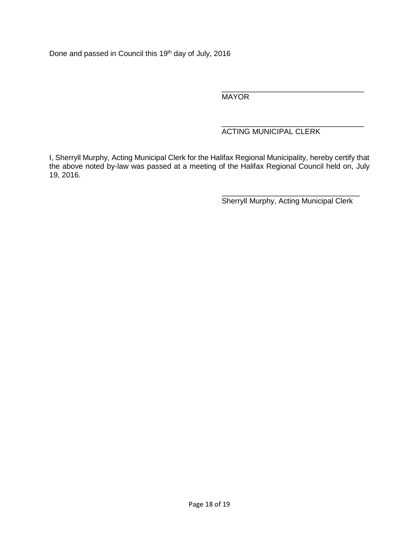Done and passed in Council this 19<sup>th</sup> day of July, 2016

\_\_\_\_\_\_\_\_\_\_\_\_\_\_\_\_\_\_\_\_\_\_\_\_\_\_\_\_\_\_\_\_\_\_ MAYOR

#### \_\_\_\_\_\_\_\_\_\_\_\_\_\_\_\_\_\_\_\_\_\_\_\_\_\_\_\_\_\_\_\_\_\_ ACTING MUNICIPAL CLERK

I, Sherryll Murphy, Acting Municipal Clerk for the Halifax Regional Municipality, hereby certify that the above noted by-law was passed at a meeting of the Halifax Regional Council held on, July 19, 2016.

> \_\_\_\_\_\_\_\_\_\_\_\_\_\_\_\_\_\_\_\_\_\_\_\_\_\_\_\_\_\_\_\_\_ Sherryll Murphy, Acting Municipal Clerk